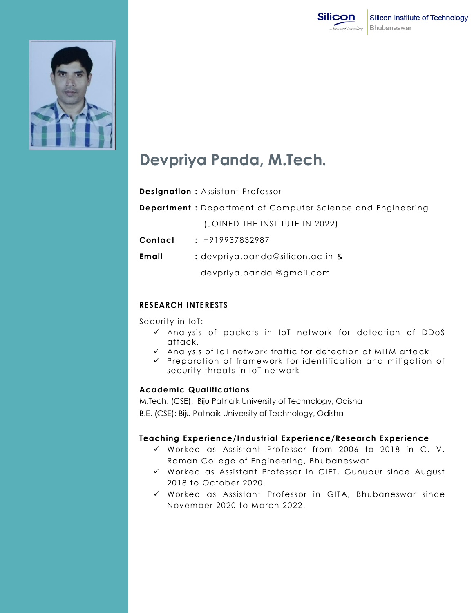



# **Devpriya Panda, M.Tech.**

## **Designation :** Assistant Professor

**Department :** Department of Computer Science and Engineering

(JOINED THE INSTITUTE IN 2022)

**Contact :** +919937832987

**Email :** devpriya.panda@silicon.ac.in &

devpriya.panda @gmail.com

# **RESEARCH INTERESTS**

Security in IoT:

- $\checkmark$  Analysis of packets in IoT network for detection of DDoS attack.
- $\checkmark$  Analysis of IoT network traffic for detection of MITM attack
- $\checkmark$  Preparation of framework for identification and mitigation of security threats in IoT network

## **Academic Qualifications**

M.Tech. (CSE): Biju Patnaik University of Technology, Odisha B.E. (CSE): Biju Patnaik University of Technology, Odisha

# **Teaching Experience/Industrial Experience/Research Experience**

- Worked as Assistant Professor from 2006 to 2018 in C. V. Raman College of Engineering, Bhubaneswar
- Worked as Assistant Professor in GIET, Gunupur since August 2018 to October 2020.
- Worked as Assistant Professor in GITA, Bhubaneswar since November 2020 to March 2022.